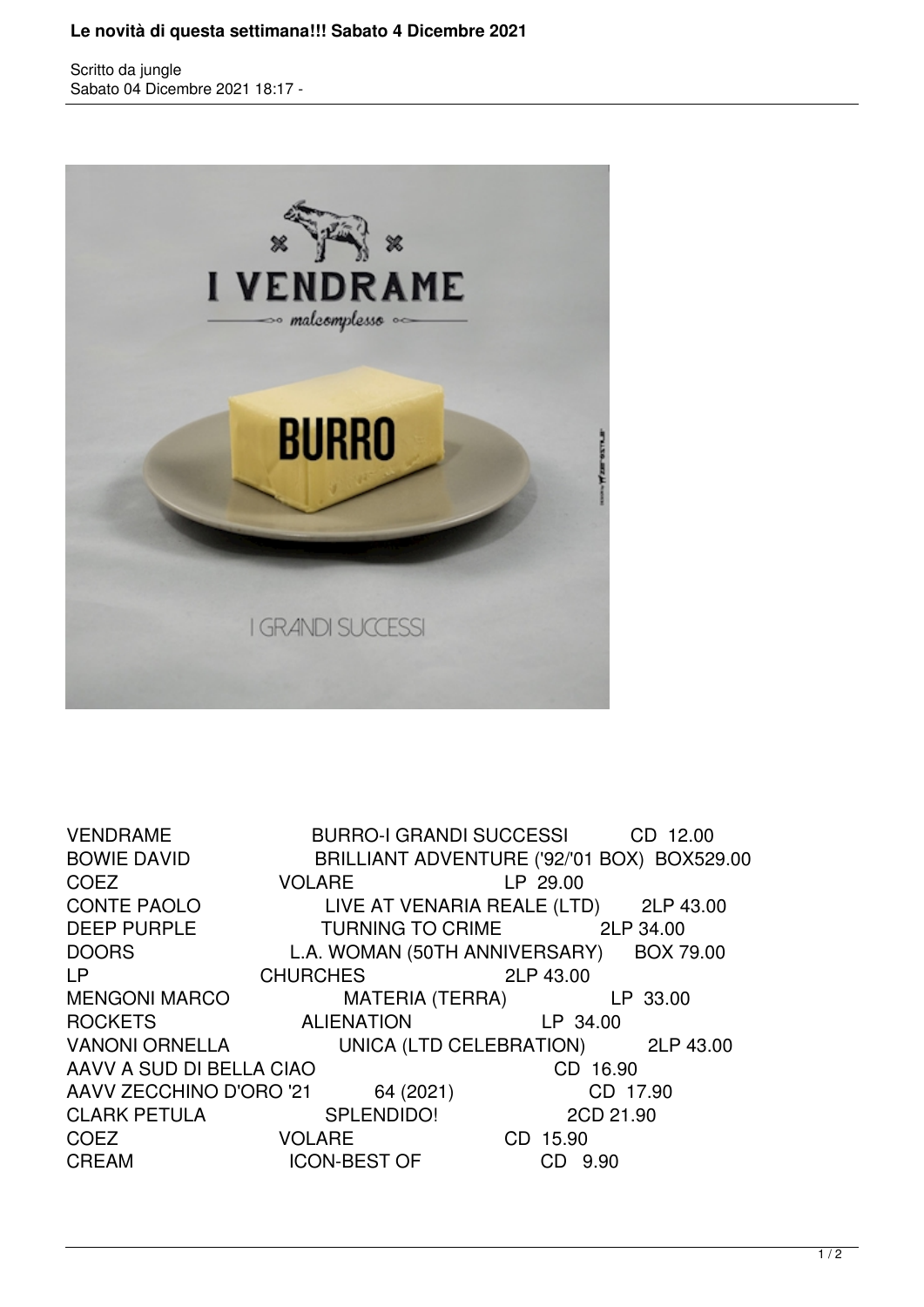## **Le novità di questa settimana!!! Sabato 4 Dicembre 2021**

Scritto da jungle Sabato 04 Dicembre 2021 18:17 -



VENDRAME BURRO-I GRANDI SUCCESSI CD 12.00 BOWIE DAVID BRILLIANT ADVENTURE ('92/'01 BOX) BOX529.00 COEZ VOLARE LP 29.00<br>CONTE PAOLO LIVE AT VENARIA REALE (LTI LIVE AT VENARIA REALE (LTD) 2LP 43.00 DEEP PURPLE TURNING TO CRIME 2LP 34.00 DOORS L.A. WOMAN (50TH ANNIVERSARY) BOX 79.00 LP CHURCHES 2LP 43.00 MENGONI MARCO MATERIA (TERRA) LP 33.00 ROCKETS ALIENATION LP 34.00 VANONI ORNELLA UNICA (LTD CELEBRATION) 2LP 43.00 AAVV A SUD DI BELLA CIAO CD 16.90 AAVV ZECCHINO D'ORO '21 64 (2021) CD 17.90 CLARK PETULA SPLENDIDO! 2CD 21.90 COEZ VOLARE CD 15.90 CREAM ICON-BEST OF CD 9.90